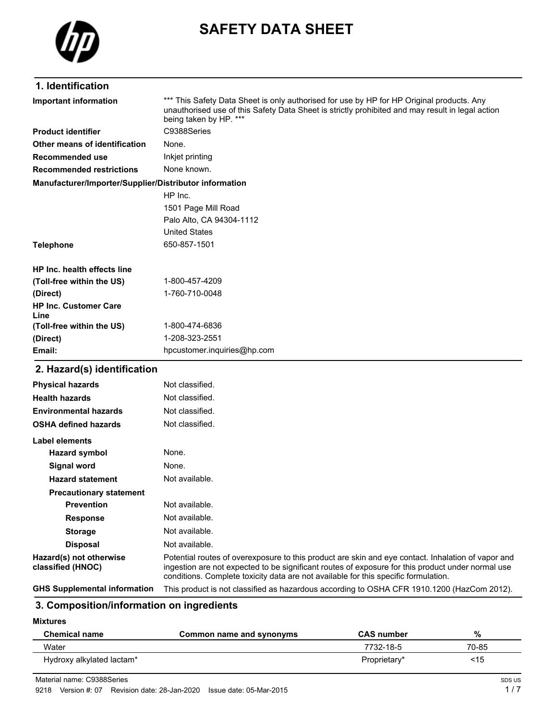

# **SAFETY DATA SHEET**

### **1. Identification**

| Important information                                  | *** This Safety Data Sheet is only authorised for use by HP for HP Original products. Any<br>unauthorised use of this Safety Data Sheet is strictly prohibited and may result in legal action<br>being taken by HP. *** |  |  |
|--------------------------------------------------------|-------------------------------------------------------------------------------------------------------------------------------------------------------------------------------------------------------------------------|--|--|
| <b>Product identifier</b>                              | C9388Series                                                                                                                                                                                                             |  |  |
| Other means of identification                          | None.                                                                                                                                                                                                                   |  |  |
| Recommended use                                        | Inkjet printing                                                                                                                                                                                                         |  |  |
| <b>Recommended restrictions</b>                        | None known.                                                                                                                                                                                                             |  |  |
| Manufacturer/Importer/Supplier/Distributor information |                                                                                                                                                                                                                         |  |  |
|                                                        | HP Inc.                                                                                                                                                                                                                 |  |  |
|                                                        | 1501 Page Mill Road                                                                                                                                                                                                     |  |  |
|                                                        | Palo Alto, CA 94304-1112                                                                                                                                                                                                |  |  |
|                                                        | <b>United States</b>                                                                                                                                                                                                    |  |  |
| <b>Telephone</b>                                       | 650-857-1501                                                                                                                                                                                                            |  |  |
| HP Inc. health effects line                            |                                                                                                                                                                                                                         |  |  |
| (Toll-free within the US)                              | 1-800-457-4209                                                                                                                                                                                                          |  |  |
| (Direct)                                               | 1-760-710-0048                                                                                                                                                                                                          |  |  |
| <b>HP Inc. Customer Care</b><br>Line                   |                                                                                                                                                                                                                         |  |  |
| (Toll-free within the US)                              | 1-800-474-6836                                                                                                                                                                                                          |  |  |
| (Direct)                                               | 1-208-323-2551                                                                                                                                                                                                          |  |  |
| Email:                                                 | hpcustomer.inquiries@hp.com                                                                                                                                                                                             |  |  |
| 2. Hazard(s) identification                            |                                                                                                                                                                                                                         |  |  |
| <b>Physical hazards</b>                                | Not classified.                                                                                                                                                                                                         |  |  |
| <b>Health hazards</b>                                  | Not classified.                                                                                                                                                                                                         |  |  |
| <b>Environmental hazards</b>                           | Not classified.                                                                                                                                                                                                         |  |  |
| <b>OSHA defined hazards</b>                            | Not classified.                                                                                                                                                                                                         |  |  |
| <b>Label elements</b>                                  |                                                                                                                                                                                                                         |  |  |
| <b>Hazard symbol</b>                                   | None.                                                                                                                                                                                                                   |  |  |
| <b>Signal word</b>                                     | None.                                                                                                                                                                                                                   |  |  |
| <b>Hazard statement</b>                                | Not available.                                                                                                                                                                                                          |  |  |

#### **3. Composition/information on ingredients**

**Prevention** Not available. **Response** Not available. **Storage** Not available. **Disposal** Not available.

**Mixtures**

| Chemical name             | Common name and synonyms | <b>CAS number</b> | %     |
|---------------------------|--------------------------|-------------------|-------|
| Water                     |                          | 7732-18-5         | 70-85 |
| Hydroxy alkylated lactam* |                          | Proprietary*      | <15   |

**GHS Supplemental information** This product is not classified as hazardous according to OSHA CFR 1910.1200 (HazCom 2012).

Potential routes of overexposure to this product are skin and eye contact. Inhalation of vapor and ingestion are not expected to be significant routes of exposure for this product under normal use

conditions. Complete toxicity data are not available for this specific formulation.

**Hazard(s) not otherwise classified (HNOC)**

**Precautionary statement**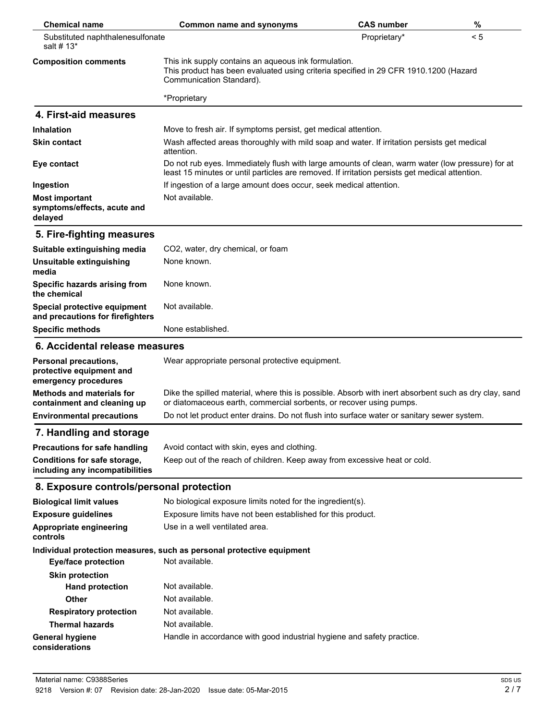| <b>Chemical name</b>                                                      | <b>Common name and synonyms</b>                                                                                                                                                                    | <b>CAS number</b> | $\%$ |
|---------------------------------------------------------------------------|----------------------------------------------------------------------------------------------------------------------------------------------------------------------------------------------------|-------------------|------|
| Substituted naphthalenesulfonate<br>salt # 13*                            |                                                                                                                                                                                                    | Proprietary*      | < 5  |
| <b>Composition comments</b>                                               | This ink supply contains an aqueous ink formulation.<br>This product has been evaluated using criteria specified in 29 CFR 1910.1200 (Hazard<br>Communication Standard).                           |                   |      |
|                                                                           | *Proprietary                                                                                                                                                                                       |                   |      |
| 4. First-aid measures                                                     |                                                                                                                                                                                                    |                   |      |
| <b>Inhalation</b>                                                         | Move to fresh air. If symptoms persist, get medical attention.                                                                                                                                     |                   |      |
| <b>Skin contact</b>                                                       | Wash affected areas thoroughly with mild soap and water. If irritation persists get medical<br>attention.                                                                                          |                   |      |
| Eye contact                                                               | Do not rub eyes. Immediately flush with large amounts of clean, warm water (low pressure) for at<br>least 15 minutes or until particles are removed. If irritation persists get medical attention. |                   |      |
| Ingestion                                                                 | If ingestion of a large amount does occur, seek medical attention.                                                                                                                                 |                   |      |
| <b>Most important</b><br>symptoms/effects, acute and<br>delayed           | Not available.                                                                                                                                                                                     |                   |      |
| 5. Fire-fighting measures                                                 |                                                                                                                                                                                                    |                   |      |
| Suitable extinguishing media                                              | CO2, water, dry chemical, or foam                                                                                                                                                                  |                   |      |
| Unsuitable extinguishing<br>media                                         | None known.                                                                                                                                                                                        |                   |      |
| Specific hazards arising from<br>the chemical                             | None known.                                                                                                                                                                                        |                   |      |
| Special protective equipment<br>and precautions for firefighters          | Not available.                                                                                                                                                                                     |                   |      |
| <b>Specific methods</b>                                                   | None established.                                                                                                                                                                                  |                   |      |
| 6. Accidental release measures                                            |                                                                                                                                                                                                    |                   |      |
| Personal precautions,<br>protective equipment and<br>emergency procedures | Wear appropriate personal protective equipment.                                                                                                                                                    |                   |      |
| <b>Methods and materials for</b><br>containment and cleaning up           | Dike the spilled material, where this is possible. Absorb with inert absorbent such as dry clay, sand<br>or diatomaceous earth, commercial sorbents, or recover using pumps.                       |                   |      |
| <b>Environmental precautions</b>                                          | Do not let product enter drains. Do not flush into surface water or sanitary sewer system.                                                                                                         |                   |      |
| 7. Handling and storage                                                   |                                                                                                                                                                                                    |                   |      |
| <b>Precautions for safe handling</b>                                      | Avoid contact with skin, eyes and clothing.                                                                                                                                                        |                   |      |
| Conditions for safe storage,<br>including any incompatibilities           | Keep out of the reach of children. Keep away from excessive heat or cold.                                                                                                                          |                   |      |
| 8. Exposure controls/personal protection                                  |                                                                                                                                                                                                    |                   |      |
| <b>Biological limit values</b>                                            | No biological exposure limits noted for the ingredient(s).                                                                                                                                         |                   |      |
| <b>Exposure guidelines</b>                                                | Exposure limits have not been established for this product.                                                                                                                                        |                   |      |
| Appropriate engineering<br>controls                                       | Use in a well ventilated area.                                                                                                                                                                     |                   |      |
|                                                                           | Individual protection measures, such as personal protective equipment                                                                                                                              |                   |      |
| <b>Eye/face protection</b>                                                | Not available.                                                                                                                                                                                     |                   |      |
| <b>Skin protection</b>                                                    |                                                                                                                                                                                                    |                   |      |
| <b>Hand protection</b>                                                    | Not available.                                                                                                                                                                                     |                   |      |
| <b>Other</b>                                                              | Not available.                                                                                                                                                                                     |                   |      |
| <b>Respiratory protection</b>                                             | Not available.                                                                                                                                                                                     |                   |      |
| <b>Thermal hazards</b>                                                    | Not available.                                                                                                                                                                                     |                   |      |
| <b>General hygiene</b><br>considerations                                  | Handle in accordance with good industrial hygiene and safety practice.                                                                                                                             |                   |      |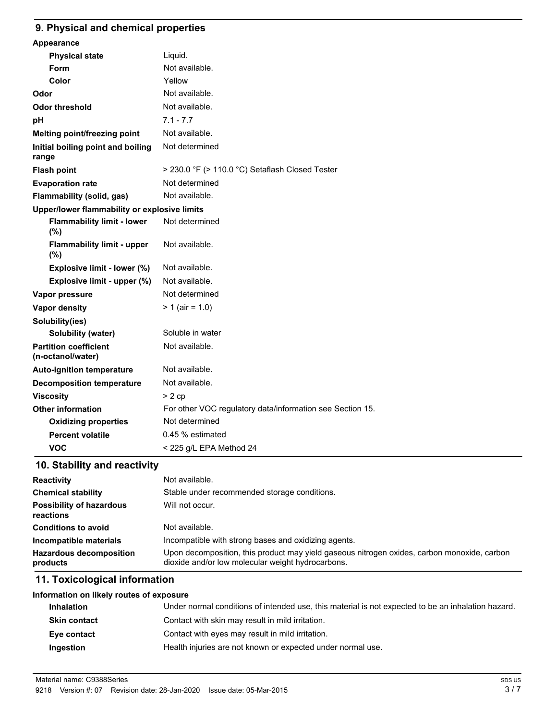#### **9. Physical and chemical properties**

| Appearance                                        |                                                           |  |
|---------------------------------------------------|-----------------------------------------------------------|--|
| <b>Physical state</b>                             | Liquid.                                                   |  |
| Form                                              | Not available.                                            |  |
| Color                                             | Yellow                                                    |  |
| Odor                                              | Not available.                                            |  |
| <b>Odor threshold</b>                             | Not available.                                            |  |
| pH                                                | $7.1 - 7.7$                                               |  |
| Melting point/freezing point                      | Not available.                                            |  |
| Initial boiling point and boiling<br>range        | Not determined                                            |  |
| <b>Flash point</b>                                | > 230.0 °F (> 110.0 °C) Setaflash Closed Tester           |  |
| <b>Evaporation rate</b>                           | Not determined                                            |  |
| Flammability (solid, gas)                         | Not available.                                            |  |
| Upper/lower flammability or explosive limits      |                                                           |  |
| <b>Flammability limit - lower</b><br>(%)          | Not determined                                            |  |
| <b>Flammability limit - upper</b><br>(%)          | Not available.                                            |  |
| Explosive limit - lower (%)                       | Not available.                                            |  |
| Explosive limit - upper (%)                       | Not available.                                            |  |
| Vapor pressure                                    | Not determined                                            |  |
| <b>Vapor density</b>                              | $> 1$ (air = 1.0)                                         |  |
| Solubility(ies)                                   |                                                           |  |
| <b>Solubility (water)</b>                         | Soluble in water                                          |  |
| <b>Partition coefficient</b><br>(n-octanol/water) | Not available.                                            |  |
| <b>Auto-ignition temperature</b>                  | Not available.                                            |  |
| <b>Decomposition temperature</b>                  | Not available.                                            |  |
| <b>Viscosity</b>                                  | > 2cp                                                     |  |
| <b>Other information</b>                          | For other VOC regulatory data/information see Section 15. |  |
| <b>Oxidizing properties</b>                       | Not determined                                            |  |
| <b>Percent volatile</b>                           | 0.45 % estimated                                          |  |
| <b>VOC</b>                                        | < 225 g/L EPA Method 24                                   |  |
|                                                   |                                                           |  |

### **10. Stability and reactivity**

| <b>Reactivity</b>                            | Not available.                                                                                                                                   |
|----------------------------------------------|--------------------------------------------------------------------------------------------------------------------------------------------------|
| <b>Chemical stability</b>                    | Stable under recommended storage conditions.                                                                                                     |
| <b>Possibility of hazardous</b><br>reactions | Will not occur.                                                                                                                                  |
| <b>Conditions to avoid</b>                   | Not available.                                                                                                                                   |
| Incompatible materials                       | Incompatible with strong bases and oxidizing agents.                                                                                             |
| <b>Hazardous decomposition</b><br>products   | Upon decomposition, this product may yield gaseous nitrogen oxides, carbon monoxide, carbon<br>dioxide and/or low molecular weight hydrocarbons. |

#### **11. Toxicological information**

| Information on likely routes of exposure |                            |
|------------------------------------------|----------------------------|
| <b>Inhalation</b>                        | Under normal conditions of |

| Under normal conditions of intended use, this material is not expected to be an inhalation hazard. |
|----------------------------------------------------------------------------------------------------|
|                                                                                                    |
|                                                                                                    |
|                                                                                                    |
|                                                                                                    |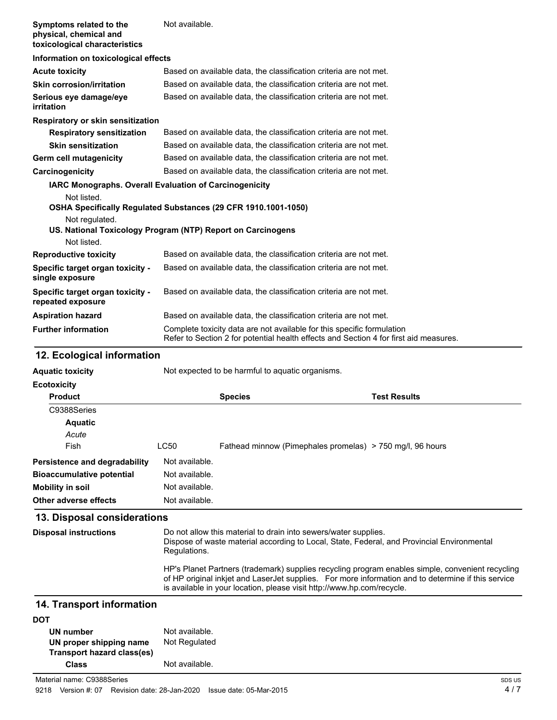| Symptoms related to the<br>physical, chemical and<br>toxicological characteristics | Not available.                                                                                                                                                  |  |  |
|------------------------------------------------------------------------------------|-----------------------------------------------------------------------------------------------------------------------------------------------------------------|--|--|
| Information on toxicological effects                                               |                                                                                                                                                                 |  |  |
| <b>Acute toxicity</b>                                                              | Based on available data, the classification criteria are not met.                                                                                               |  |  |
| <b>Skin corrosion/irritation</b>                                                   | Based on available data, the classification criteria are not met.                                                                                               |  |  |
| Serious eye damage/eye<br>irritation                                               | Based on available data, the classification criteria are not met.                                                                                               |  |  |
| Respiratory or skin sensitization                                                  |                                                                                                                                                                 |  |  |
| <b>Respiratory sensitization</b>                                                   | Based on available data, the classification criteria are not met.                                                                                               |  |  |
| <b>Skin sensitization</b>                                                          | Based on available data, the classification criteria are not met.                                                                                               |  |  |
| Germ cell mutagenicity                                                             | Based on available data, the classification criteria are not met.                                                                                               |  |  |
| Carcinogenicity                                                                    | Based on available data, the classification criteria are not met.                                                                                               |  |  |
| <b>IARC Monographs. Overall Evaluation of Carcinogenicity</b>                      |                                                                                                                                                                 |  |  |
| Not listed.<br>Not regulated.                                                      | OSHA Specifically Regulated Substances (29 CFR 1910.1001-1050)                                                                                                  |  |  |
|                                                                                    | US. National Toxicology Program (NTP) Report on Carcinogens                                                                                                     |  |  |
| Not listed.                                                                        |                                                                                                                                                                 |  |  |
| <b>Reproductive toxicity</b>                                                       | Based on available data, the classification criteria are not met.                                                                                               |  |  |
| Specific target organ toxicity -<br>single exposure                                | Based on available data, the classification criteria are not met.                                                                                               |  |  |
| Specific target organ toxicity -<br>repeated exposure                              | Based on available data, the classification criteria are not met.                                                                                               |  |  |
| <b>Aspiration hazard</b>                                                           | Based on available data, the classification criteria are not met.                                                                                               |  |  |
| <b>Further information</b>                                                         | Complete toxicity data are not available for this specific formulation<br>Refer to Section 2 for potential health effects and Section 4 for first aid measures. |  |  |

### **12. Ecological information**

| <b>Aquatic toxicity</b>          | Not expected to be harmful to aquatic organisms. |                                                           |                     |
|----------------------------------|--------------------------------------------------|-----------------------------------------------------------|---------------------|
| <b>Ecotoxicity</b>               |                                                  |                                                           |                     |
| <b>Product</b>                   |                                                  | <b>Species</b>                                            | <b>Test Results</b> |
| C9388Series                      |                                                  |                                                           |                     |
| <b>Aquatic</b>                   |                                                  |                                                           |                     |
| Acute                            |                                                  |                                                           |                     |
| Fish                             | LC50                                             | Fathead minnow (Pimephales promelas) > 750 mg/l, 96 hours |                     |
| Persistence and degradability    | Not available.                                   |                                                           |                     |
| <b>Bioaccumulative potential</b> | Not available.                                   |                                                           |                     |
| Mobility in soil                 | Not available.                                   |                                                           |                     |
| Other adverse effects            | Not available.                                   |                                                           |                     |

### **13. Disposal considerations**

| <b>Disposal instructions</b> | Do not allow this material to drain into sewers/water supplies.<br>Dispose of waste material according to Local, State, Federal, and Provincial Environmental<br>Regulations.                                                                                                    |
|------------------------------|----------------------------------------------------------------------------------------------------------------------------------------------------------------------------------------------------------------------------------------------------------------------------------|
|                              | HP's Planet Partners (trademark) supplies recycling program enables simple, convenient recycling<br>of HP original inkjet and LaserJet supplies. For more information and to determine if this service<br>is available in your location, please visit http://www.hp.com/recycle. |
|                              |                                                                                                                                                                                                                                                                                  |

### **14. Transport information**

| <b>DOT</b>                 |                |
|----------------------------|----------------|
| UN number                  | Not available. |
| UN proper shipping name    | Not Regulated  |
| Transport hazard class(es) |                |
| Class                      | Not available. |

Material name: C9388Series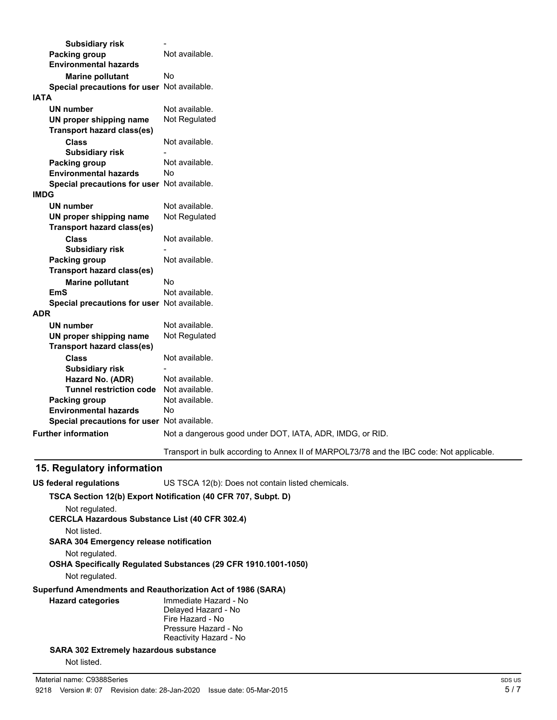| <b>Subsidiary risk</b>                      |                                                                                          |
|---------------------------------------------|------------------------------------------------------------------------------------------|
| <b>Packing group</b>                        | Not available.                                                                           |
| <b>Environmental hazards</b>                |                                                                                          |
| <b>Marine pollutant</b>                     | No                                                                                       |
| Special precautions for user Not available. |                                                                                          |
| <b>IATA</b>                                 |                                                                                          |
| UN number                                   | Not available.                                                                           |
| UN proper shipping name                     | Not Regulated                                                                            |
| <b>Transport hazard class(es)</b>           |                                                                                          |
| <b>Class</b>                                | Not available.                                                                           |
| <b>Subsidiary risk</b>                      |                                                                                          |
| <b>Packing group</b>                        | Not available.                                                                           |
| <b>Environmental hazards</b>                | No                                                                                       |
| Special precautions for user Not available. |                                                                                          |
| <b>IMDG</b>                                 |                                                                                          |
| UN number                                   | Not available.                                                                           |
| UN proper shipping name                     | Not Regulated                                                                            |
| <b>Transport hazard class(es)</b>           |                                                                                          |
| <b>Class</b>                                | Not available.                                                                           |
| <b>Subsidiary risk</b>                      |                                                                                          |
| Packing group                               | Not available.                                                                           |
| <b>Transport hazard class(es)</b>           |                                                                                          |
| <b>Marine pollutant</b>                     | No                                                                                       |
| <b>EmS</b>                                  | Not available.                                                                           |
| Special precautions for user Not available. |                                                                                          |
| <b>ADR</b>                                  |                                                                                          |
| <b>UN number</b>                            | Not available.                                                                           |
| UN proper shipping name                     | Not Regulated                                                                            |
| <b>Transport hazard class(es)</b>           |                                                                                          |
| <b>Class</b>                                | Not available.                                                                           |
| <b>Subsidiary risk</b>                      |                                                                                          |
| Hazard No. (ADR)                            | Not available.                                                                           |
| <b>Tunnel restriction code</b>              | Not available.                                                                           |
| Packing group                               | Not available.                                                                           |
| <b>Environmental hazards</b>                | No                                                                                       |
| Special precautions for user Not available. |                                                                                          |
| <b>Further information</b>                  | Not a dangerous good under DOT, IATA, ADR, IMDG, or RID.                                 |
|                                             | Transport in bulk according to Annex II of MARPOL73/78 and the IBC code: Not applicable. |

## **15. Regulatory information**

| <b>US federal regulations</b>                  | US TSCA 12(b): Does not contain listed chemicals.                     |
|------------------------------------------------|-----------------------------------------------------------------------|
|                                                | TSCA Section 12(b) Export Notification (40 CFR 707, Subpt. D)         |
| Not regulated.                                 | <b>CERCLA Hazardous Substance List (40 CFR 302.4)</b>                 |
| Not listed.                                    |                                                                       |
| <b>SARA 304 Emergency release notification</b> |                                                                       |
| Not regulated.                                 |                                                                       |
|                                                | <b>OSHA Specifically Requiated Substances (29 CFR 1910.1001-1050)</b> |
| Not regulated.                                 |                                                                       |
|                                                | Superfund Amendments and Reauthorization Act of 1986 (SARA)           |
| <b>Hazard categories</b>                       | Immediate Hazard - No                                                 |
|                                                | Delayed Hazard - No                                                   |
|                                                | Fire Hazard - No                                                      |
|                                                | Pressure Hazard - No                                                  |
|                                                | Reactivity Hazard - No                                                |
| <b>SARA 302 Extremely hazardous substance</b>  |                                                                       |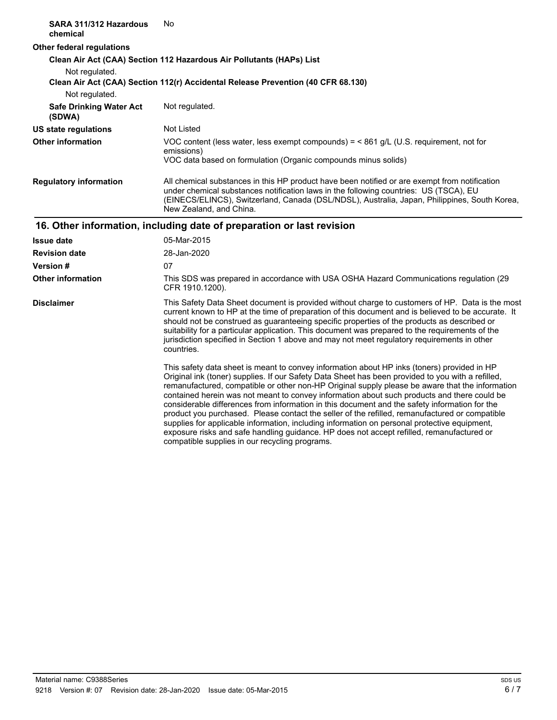| SARA 311/312 Hazardous<br>chemical       | No                                                                                                                                                                                                                                                                                                                                                                                                                                                                                                                                                                                                                                                                                                                                                                                                                                                   |
|------------------------------------------|------------------------------------------------------------------------------------------------------------------------------------------------------------------------------------------------------------------------------------------------------------------------------------------------------------------------------------------------------------------------------------------------------------------------------------------------------------------------------------------------------------------------------------------------------------------------------------------------------------------------------------------------------------------------------------------------------------------------------------------------------------------------------------------------------------------------------------------------------|
| <b>Other federal regulations</b>         |                                                                                                                                                                                                                                                                                                                                                                                                                                                                                                                                                                                                                                                                                                                                                                                                                                                      |
| Not regulated.                           | Clean Air Act (CAA) Section 112 Hazardous Air Pollutants (HAPs) List<br>Clean Air Act (CAA) Section 112(r) Accidental Release Prevention (40 CFR 68.130)                                                                                                                                                                                                                                                                                                                                                                                                                                                                                                                                                                                                                                                                                             |
| Not regulated.                           |                                                                                                                                                                                                                                                                                                                                                                                                                                                                                                                                                                                                                                                                                                                                                                                                                                                      |
| <b>Safe Drinking Water Act</b><br>(SDWA) | Not regulated.                                                                                                                                                                                                                                                                                                                                                                                                                                                                                                                                                                                                                                                                                                                                                                                                                                       |
| <b>US state regulations</b>              | Not Listed                                                                                                                                                                                                                                                                                                                                                                                                                                                                                                                                                                                                                                                                                                                                                                                                                                           |
| <b>Other information</b>                 | VOC content (less water, less exempt compounds) = $<$ 861 g/L (U.S. requirement, not for<br>emissions)<br>VOC data based on formulation (Organic compounds minus solids)                                                                                                                                                                                                                                                                                                                                                                                                                                                                                                                                                                                                                                                                             |
| <b>Regulatory information</b>            | All chemical substances in this HP product have been notified or are exempt from notification<br>under chemical substances notification laws in the following countries: US (TSCA), EU<br>(EINECS/ELINCS), Switzerland, Canada (DSL/NDSL), Australia, Japan, Philippines, South Korea,<br>New Zealand, and China.                                                                                                                                                                                                                                                                                                                                                                                                                                                                                                                                    |
|                                          | 16. Other information, including date of preparation or last revision                                                                                                                                                                                                                                                                                                                                                                                                                                                                                                                                                                                                                                                                                                                                                                                |
| <b>Issue date</b>                        | 05-Mar-2015                                                                                                                                                                                                                                                                                                                                                                                                                                                                                                                                                                                                                                                                                                                                                                                                                                          |
| <b>Revision date</b>                     | 28-Jan-2020                                                                                                                                                                                                                                                                                                                                                                                                                                                                                                                                                                                                                                                                                                                                                                                                                                          |
| <b>Version#</b>                          | 07                                                                                                                                                                                                                                                                                                                                                                                                                                                                                                                                                                                                                                                                                                                                                                                                                                                   |
| <b>Other information</b>                 | This SDS was prepared in accordance with USA OSHA Hazard Communications regulation (29<br>CFR 1910.1200).                                                                                                                                                                                                                                                                                                                                                                                                                                                                                                                                                                                                                                                                                                                                            |
| <b>Disclaimer</b>                        | This Safety Data Sheet document is provided without charge to customers of HP. Data is the most<br>current known to HP at the time of preparation of this document and is believed to be accurate. It<br>should not be construed as guaranteeing specific properties of the products as described or<br>suitability for a particular application. This document was prepared to the requirements of the<br>jurisdiction specified in Section 1 above and may not meet regulatory requirements in other<br>countries.                                                                                                                                                                                                                                                                                                                                 |
|                                          | This safety data sheet is meant to convey information about HP inks (toners) provided in HP<br>Original ink (toner) supplies. If our Safety Data Sheet has been provided to you with a refilled,<br>remanufactured, compatible or other non-HP Original supply please be aware that the information<br>contained herein was not meant to convey information about such products and there could be<br>considerable differences from information in this document and the safety information for the<br>product you purchased. Please contact the seller of the refilled, remanufactured or compatible<br>supplies for applicable information, including information on personal protective equipment,<br>exposure risks and safe handling guidance. HP does not accept refilled, remanufactured or<br>compatible supplies in our recycling programs. |